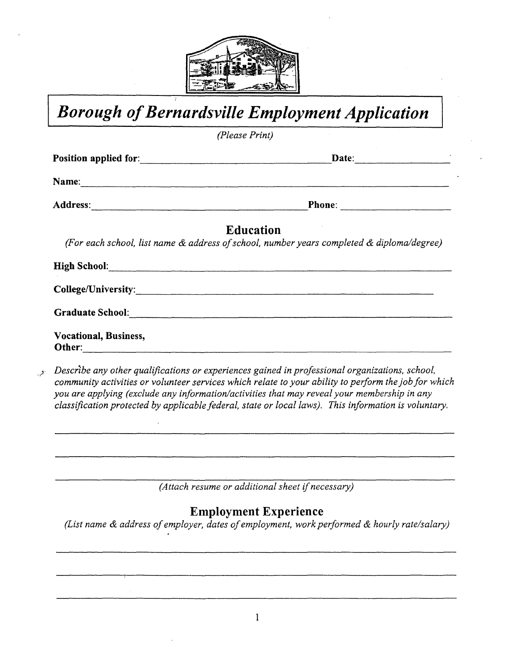

*Borough of Bernardsville Employment Application* 

*(Please Print)* 

| Name:                                                                                                                                                                                                                                |                                                                                                               |
|--------------------------------------------------------------------------------------------------------------------------------------------------------------------------------------------------------------------------------------|---------------------------------------------------------------------------------------------------------------|
|                                                                                                                                                                                                                                      |                                                                                                               |
|                                                                                                                                                                                                                                      | <b>Education</b><br>(For each school, list name & address of school, number years completed & diploma/degree) |
| High School: <u>All and the second of the second of the second of the second of the second of the second of the second of the second of the second of the second of the second of the second of the second of the second of the </u> |                                                                                                               |
|                                                                                                                                                                                                                                      |                                                                                                               |
|                                                                                                                                                                                                                                      | Graduate School: <u>Canadian Communications</u>                                                               |
| Vocational, Business,                                                                                                                                                                                                                |                                                                                                               |
|                                                                                                                                                                                                                                      | $\mathcal{A}$                                                                                                 |

.,'J *Describe any other qualifications or experiences gained in professional organizations, school, community activities or volunteer services which relate to your ability to perform the job for which you are applying (exclude any information/activities that may reveal your membership in any classification protected by applicable federal, state or local laws). This information is voluntary.* 

*(Attach resume or additional sheet if necessary)* 

## **Employment Experience**

*(List name & address of employer, dates of employment, work performed & hourly rate/salary)*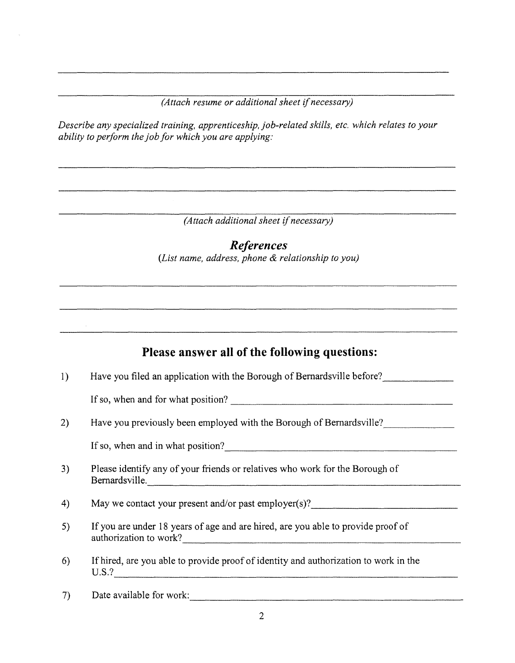*(Attach resume or additional sheet if necessary)* 

*Describe any specialized training, apprenticeship, job-related skills, etc. which relates to your ability to perform the job for which you are applying:* 

*(Attach additional sheet if necessary)* 

*References (List name, address, phone & relationship to you)* 

## **Please answer all of the following questions:**

1) Have you filed an application with the Borough of Bernardsville before?

If so, when and for what position?  $\frac{1}{2}$   $\frac{1}{2}$   $\frac{1}{2}$   $\frac{1}{2}$   $\frac{1}{2}$   $\frac{1}{2}$   $\frac{1}{2}$   $\frac{1}{2}$   $\frac{1}{2}$   $\frac{1}{2}$   $\frac{1}{2}$   $\frac{1}{2}$   $\frac{1}{2}$   $\frac{1}{2}$   $\frac{1}{2}$   $\frac{1}{2}$   $\frac{1}{2}$   $\frac{1}{2}$   $\frac{1}{$ 

2) Have you previously been employed with the Borough of Bernardsville?

If so, when and in what position? \_\_\_\_\_\_\_\_\_\_\_\_\_\_\_\_\_\_\_\_ \_

- 3) Please identify any of your friends or relatives who work for the Borough of Bernardsville. ----------------------------
- 4) May we contact your present and/or past employer(s)?
- 5) If you are under 18 years of age and are hired, are you able to provide proof of authorization to work?
- 6) If hired, are you able to provide proof of identity and authorization to work in the  $U.S.$ ?
- 7) Date available for work:  $\frac{1}{2}$  Date available for work: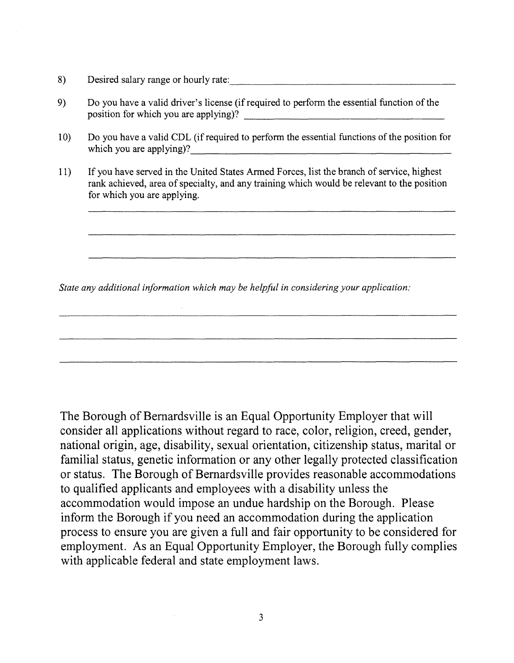- 8) Desired salary range or hourly rate:
- 9) Do you have a valid driver's license (ifrequired to perform the essential function of the position for which you are applying)?
- 10) Do you have a valid CDL (if required to perform the essential functions of the position for which you are applying)?
- 11) If you have served in the United States Armed Forces, list the branch of service, highest rank achieved, area of specialty, and any training which would be relevant to the position for which you are applying.

*State any additional information which may be helpful in considering your application:* 

The Borough of Bernardsville is an Equal Opportunity Employer that will consider all applications without regard to race, color, religion, creed, gender, national origin, age, disability, sexual orientation, citizenship status, marital or familial status, genetic information or any other legally protected classification or status. The Borough of Bernardsville provides reasonable accommodations to qualified applicants and employees with a disability unless the accommodation would impose an undue hardship on the Borough. Please inform the Borough if you need an accommodation during the application process to ensure you are given a full and fair opportunity to be considered for employment. As an Equal Opportunity Employer, the Borough fully complies with applicable federal and state employment laws.